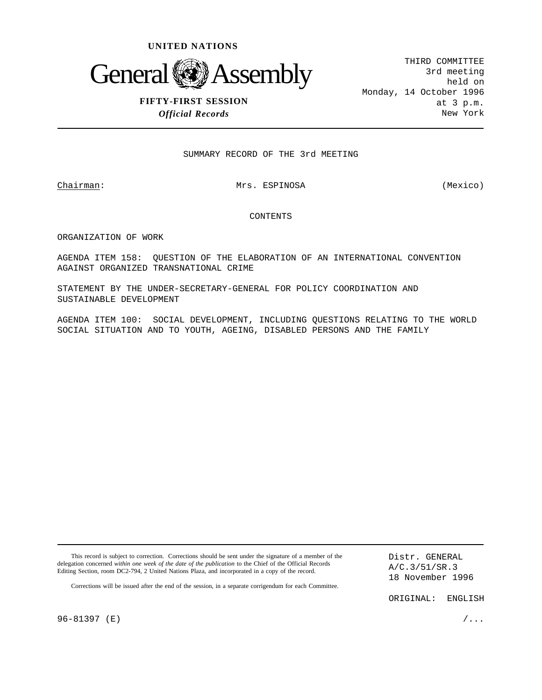



# **FIFTY-FIRST SESSION** *Official Records*

THIRD COMMITTEE 3rd meeting held on Monday, 14 October 1996 at 3 p.m. New York

SUMMARY RECORD OF THE 3rd MEETING

## Chairman: Mrs. ESPINOSA (Mexico)

## CONTENTS

ORGANIZATION OF WORK

AGENDA ITEM 158: QUESTION OF THE ELABORATION OF AN INTERNATIONAL CONVENTION AGAINST ORGANIZED TRANSNATIONAL CRIME

STATEMENT BY THE UNDER-SECRETARY-GENERAL FOR POLICY COORDINATION AND SUSTAINABLE DEVELOPMENT

AGENDA ITEM 100: SOCIAL DEVELOPMENT, INCLUDING QUESTIONS RELATING TO THE WORLD SOCIAL SITUATION AND TO YOUTH, AGEING, DISABLED PERSONS AND THE FAMILY

This record is subject to correction. Corrections should be sent under the signature of a member of the delegation concerned *within one week of the date of the publication* to the Chief of the Official Records Editing Section, room DC2-794, 2 United Nations Plaza, and incorporated in a copy of the record.

Distr. GENERAL A/C.3/51/SR.3 18 November 1996

Corrections will be issued after the end of the session, in a separate corrigendum for each Committee.

ORIGINAL: ENGLISH

96-81397 (E)  $/ \ldots$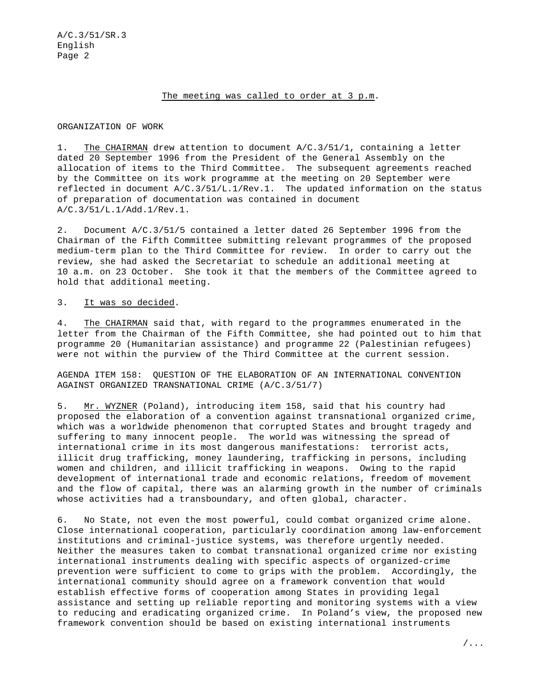## The meeting was called to order at 3 p.m.

## ORGANIZATION OF WORK

1. The CHAIRMAN drew attention to document A/C.3/51/1, containing a letter dated 20 September 1996 from the President of the General Assembly on the allocation of items to the Third Committee. The subsequent agreements reached by the Committee on its work programme at the meeting on 20 September were reflected in document A/C.3/51/L.1/Rev.1. The updated information on the status of preparation of documentation was contained in document A/C.3/51/L.1/Add.1/Rev.1.

2. Document A/C.3/51/5 contained a letter dated 26 September 1996 from the Chairman of the Fifth Committee submitting relevant programmes of the proposed medium-term plan to the Third Committee for review. In order to carry out the review, she had asked the Secretariat to schedule an additional meeting at 10 a.m. on 23 October. She took it that the members of the Committee agreed to hold that additional meeting.

#### 3. It was so decided.

4. The CHAIRMAN said that, with regard to the programmes enumerated in the letter from the Chairman of the Fifth Committee, she had pointed out to him that programme 20 (Humanitarian assistance) and programme 22 (Palestinian refugees) were not within the purview of the Third Committee at the current session.

AGENDA ITEM 158: QUESTION OF THE ELABORATION OF AN INTERNATIONAL CONVENTION AGAINST ORGANIZED TRANSNATIONAL CRIME (A/C.3/51/7)

5. Mr. WYZNER (Poland), introducing item 158, said that his country had proposed the elaboration of a convention against transnational organized crime, which was a worldwide phenomenon that corrupted States and brought tragedy and suffering to many innocent people. The world was witnessing the spread of international crime in its most dangerous manifestations: terrorist acts, illicit drug trafficking, money laundering, trafficking in persons, including women and children, and illicit trafficking in weapons. Owing to the rapid development of international trade and economic relations, freedom of movement and the flow of capital, there was an alarming growth in the number of criminals whose activities had a transboundary, and often global, character.

6. No State, not even the most powerful, could combat organized crime alone. Close international cooperation, particularly coordination among law-enforcement institutions and criminal-justice systems, was therefore urgently needed. Neither the measures taken to combat transnational organized crime nor existing international instruments dealing with specific aspects of organized-crime prevention were sufficient to come to grips with the problem. Accordingly, the international community should agree on a framework convention that would establish effective forms of cooperation among States in providing legal assistance and setting up reliable reporting and monitoring systems with a view to reducing and eradicating organized crime. In Poland's view, the proposed new framework convention should be based on existing international instruments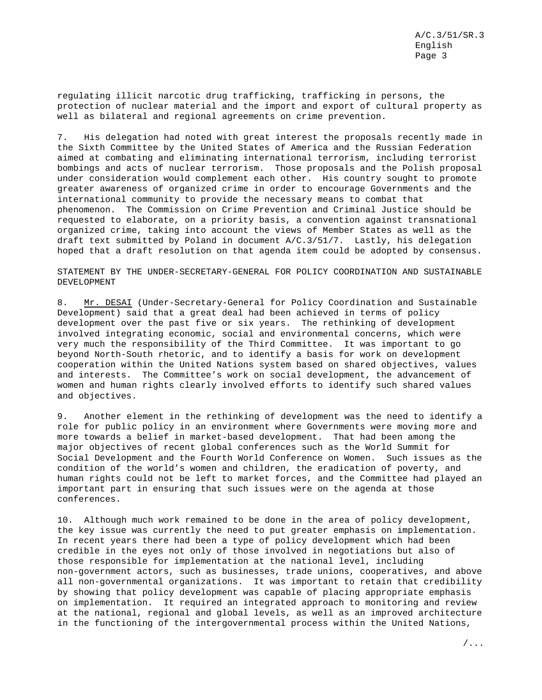regulating illicit narcotic drug trafficking, trafficking in persons, the protection of nuclear material and the import and export of cultural property as well as bilateral and regional agreements on crime prevention.

7. His delegation had noted with great interest the proposals recently made in the Sixth Committee by the United States of America and the Russian Federation aimed at combating and eliminating international terrorism, including terrorist bombings and acts of nuclear terrorism. Those proposals and the Polish proposal under consideration would complement each other. His country sought to promote greater awareness of organized crime in order to encourage Governments and the international community to provide the necessary means to combat that phenomenon. The Commission on Crime Prevention and Criminal Justice should be requested to elaborate, on a priority basis, a convention against transnational organized crime, taking into account the views of Member States as well as the draft text submitted by Poland in document A/C.3/51/7. Lastly, his delegation hoped that a draft resolution on that agenda item could be adopted by consensus.

STATEMENT BY THE UNDER-SECRETARY-GENERAL FOR POLICY COORDINATION AND SUSTAINABLE DEVELOPMENT

8. Mr. DESAI (Under-Secretary-General for Policy Coordination and Sustainable Development) said that a great deal had been achieved in terms of policy development over the past five or six years. The rethinking of development involved integrating economic, social and environmental concerns, which were very much the responsibility of the Third Committee. It was important to go beyond North-South rhetoric, and to identify a basis for work on development cooperation within the United Nations system based on shared objectives, values and interests. The Committee's work on social development, the advancement of women and human rights clearly involved efforts to identify such shared values and objectives.

9. Another element in the rethinking of development was the need to identify a role for public policy in an environment where Governments were moving more and more towards a belief in market-based development. That had been among the major objectives of recent global conferences such as the World Summit for Social Development and the Fourth World Conference on Women. Such issues as the condition of the world's women and children, the eradication of poverty, and human rights could not be left to market forces, and the Committee had played an important part in ensuring that such issues were on the agenda at those conferences.

10. Although much work remained to be done in the area of policy development, the key issue was currently the need to put greater emphasis on implementation. In recent years there had been a type of policy development which had been credible in the eyes not only of those involved in negotiations but also of those responsible for implementation at the national level, including non-government actors, such as businesses, trade unions, cooperatives, and above all non-governmental organizations. It was important to retain that credibility by showing that policy development was capable of placing appropriate emphasis on implementation. It required an integrated approach to monitoring and review at the national, regional and global levels, as well as an improved architecture in the functioning of the intergovernmental process within the United Nations,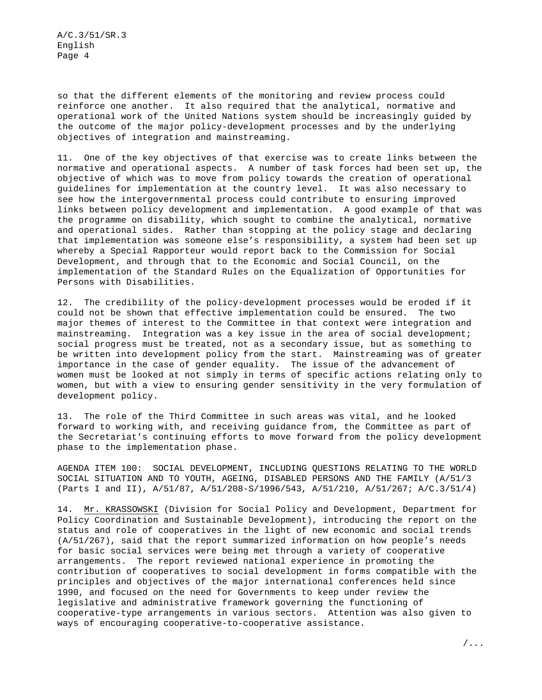so that the different elements of the monitoring and review process could reinforce one another. It also required that the analytical, normative and operational work of the United Nations system should be increasingly guided by the outcome of the major policy-development processes and by the underlying objectives of integration and mainstreaming.

11. One of the key objectives of that exercise was to create links between the normative and operational aspects. A number of task forces had been set up, the objective of which was to move from policy towards the creation of operational guidelines for implementation at the country level. It was also necessary to see how the intergovernmental process could contribute to ensuring improved links between policy development and implementation. A good example of that was the programme on disability, which sought to combine the analytical, normative and operational sides. Rather than stopping at the policy stage and declaring that implementation was someone else's responsibility, a system had been set up whereby a Special Rapporteur would report back to the Commission for Social Development, and through that to the Economic and Social Council, on the implementation of the Standard Rules on the Equalization of Opportunities for Persons with Disabilities.

12. The credibility of the policy-development processes would be eroded if it could not be shown that effective implementation could be ensured. The two major themes of interest to the Committee in that context were integration and mainstreaming. Integration was a key issue in the area of social development; social progress must be treated, not as a secondary issue, but as something to be written into development policy from the start. Mainstreaming was of greater importance in the case of gender equality. The issue of the advancement of women must be looked at not simply in terms of specific actions relating only to women, but with a view to ensuring gender sensitivity in the very formulation of development policy.

13. The role of the Third Committee in such areas was vital, and he looked forward to working with, and receiving guidance from, the Committee as part of the Secretariat's continuing efforts to move forward from the policy development phase to the implementation phase.

AGENDA ITEM 100: SOCIAL DEVELOPMENT, INCLUDING QUESTIONS RELATING TO THE WORLD SOCIAL SITUATION AND TO YOUTH, AGEING, DISABLED PERSONS AND THE FAMILY (A/51/3 (Parts I and II), A/51/87, A/51/208-S/1996/543, A/51/210, A/51/267; A/C.3/51/4)

14. Mr. KRASSOWSKI (Division for Social Policy and Development, Department for Policy Coordination and Sustainable Development), introducing the report on the status and role of cooperatives in the light of new economic and social trends (A/51/267), said that the report summarized information on how people's needs for basic social services were being met through a variety of cooperative arrangements. The report reviewed national experience in promoting the contribution of cooperatives to social development in forms compatible with the principles and objectives of the major international conferences held since 1990, and focused on the need for Governments to keep under review the legislative and administrative framework governing the functioning of cooperative-type arrangements in various sectors. Attention was also given to ways of encouraging cooperative-to-cooperative assistance.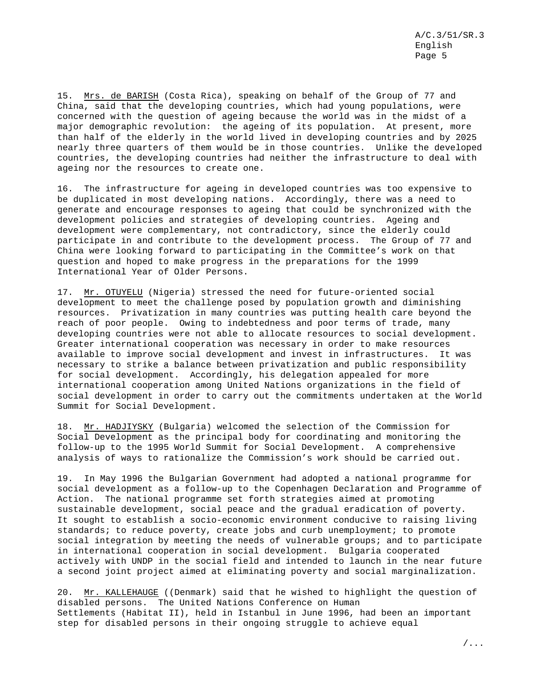15. Mrs. de BARISH (Costa Rica), speaking on behalf of the Group of 77 and China, said that the developing countries, which had young populations, were concerned with the question of ageing because the world was in the midst of a major demographic revolution: the ageing of its population. At present, more than half of the elderly in the world lived in developing countries and by 2025 nearly three quarters of them would be in those countries. Unlike the developed countries, the developing countries had neither the infrastructure to deal with ageing nor the resources to create one.

16. The infrastructure for ageing in developed countries was too expensive to be duplicated in most developing nations. Accordingly, there was a need to generate and encourage responses to ageing that could be synchronized with the development policies and strategies of developing countries. Ageing and development were complementary, not contradictory, since the elderly could participate in and contribute to the development process. The Group of 77 and China were looking forward to participating in the Committee's work on that question and hoped to make progress in the preparations for the 1999 International Year of Older Persons.

17. Mr. OTUYELU (Nigeria) stressed the need for future-oriented social development to meet the challenge posed by population growth and diminishing resources. Privatization in many countries was putting health care beyond the reach of poor people. Owing to indebtedness and poor terms of trade, many developing countries were not able to allocate resources to social development. Greater international cooperation was necessary in order to make resources available to improve social development and invest in infrastructures. It was necessary to strike a balance between privatization and public responsibility for social development. Accordingly, his delegation appealed for more international cooperation among United Nations organizations in the field of social development in order to carry out the commitments undertaken at the World Summit for Social Development.

18. Mr. HADJIYSKY (Bulgaria) welcomed the selection of the Commission for Social Development as the principal body for coordinating and monitoring the follow-up to the 1995 World Summit for Social Development. A comprehensive analysis of ways to rationalize the Commission's work should be carried out.

19. In May 1996 the Bulgarian Government had adopted a national programme for social development as a follow-up to the Copenhagen Declaration and Programme of Action. The national programme set forth strategies aimed at promoting sustainable development, social peace and the gradual eradication of poverty. It sought to establish a socio-economic environment conducive to raising living standards; to reduce poverty, create jobs and curb unemployment; to promote social integration by meeting the needs of vulnerable groups; and to participate in international cooperation in social development. Bulgaria cooperated actively with UNDP in the social field and intended to launch in the near future a second joint project aimed at eliminating poverty and social marginalization.

20. Mr. KALLEHAUGE ((Denmark) said that he wished to highlight the question of disabled persons. The United Nations Conference on Human Settlements (Habitat II), held in Istanbul in June 1996, had been an important step for disabled persons in their ongoing struggle to achieve equal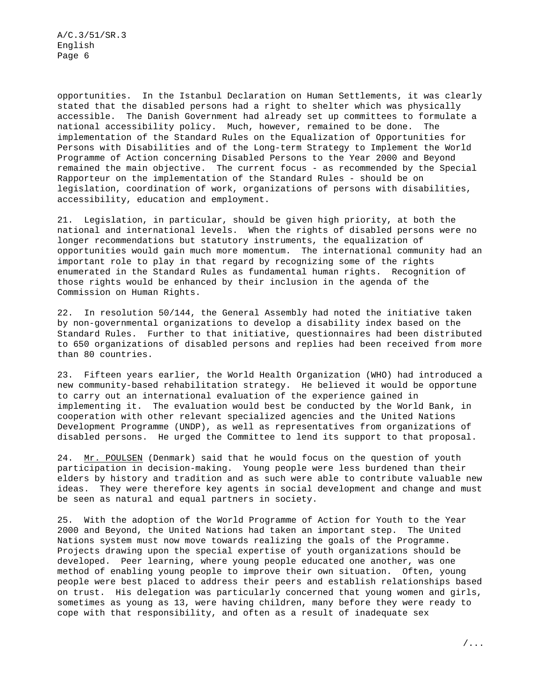opportunities. In the Istanbul Declaration on Human Settlements, it was clearly stated that the disabled persons had a right to shelter which was physically accessible. The Danish Government had already set up committees to formulate a national accessibility policy. Much, however, remained to be done. The implementation of the Standard Rules on the Equalization of Opportunities for Persons with Disabilities and of the Long-term Strategy to Implement the World Programme of Action concerning Disabled Persons to the Year 2000 and Beyond remained the main objective. The current focus - as recommended by the Special Rapporteur on the implementation of the Standard Rules - should be on legislation, coordination of work, organizations of persons with disabilities, accessibility, education and employment.

21. Legislation, in particular, should be given high priority, at both the national and international levels. When the rights of disabled persons were no longer recommendations but statutory instruments, the equalization of opportunities would gain much more momentum. The international community had an important role to play in that regard by recognizing some of the rights enumerated in the Standard Rules as fundamental human rights. Recognition of those rights would be enhanced by their inclusion in the agenda of the Commission on Human Rights.

22. In resolution 50/144, the General Assembly had noted the initiative taken by non-governmental organizations to develop a disability index based on the Standard Rules. Further to that initiative, questionnaires had been distributed to 650 organizations of disabled persons and replies had been received from more than 80 countries.

23. Fifteen years earlier, the World Health Organization (WHO) had introduced a new community-based rehabilitation strategy. He believed it would be opportune to carry out an international evaluation of the experience gained in implementing it. The evaluation would best be conducted by the World Bank, in cooperation with other relevant specialized agencies and the United Nations Development Programme (UNDP), as well as representatives from organizations of disabled persons. He urged the Committee to lend its support to that proposal.

24. Mr. POULSEN (Denmark) said that he would focus on the question of youth participation in decision-making. Young people were less burdened than their elders by history and tradition and as such were able to contribute valuable new ideas. They were therefore key agents in social development and change and must be seen as natural and equal partners in society.

25. With the adoption of the World Programme of Action for Youth to the Year 2000 and Beyond, the United Nations had taken an important step. The United Nations system must now move towards realizing the goals of the Programme. Projects drawing upon the special expertise of youth organizations should be developed. Peer learning, where young people educated one another, was one method of enabling young people to improve their own situation. Often, young people were best placed to address their peers and establish relationships based on trust. His delegation was particularly concerned that young women and girls, sometimes as young as 13, were having children, many before they were ready to cope with that responsibility, and often as a result of inadequate sex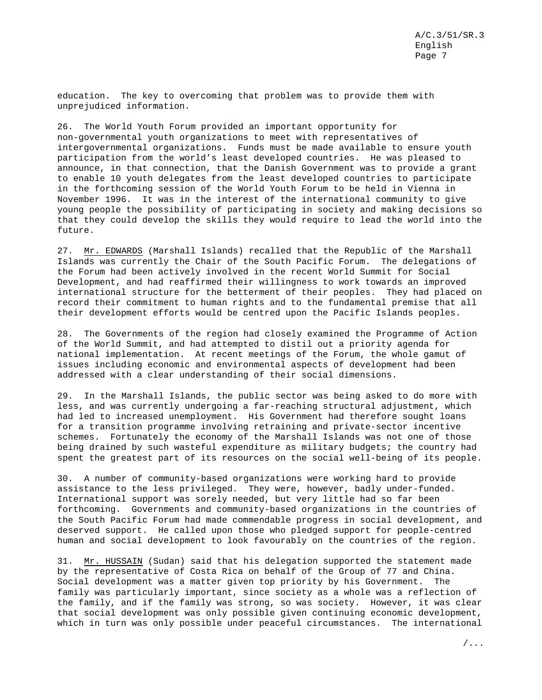education. The key to overcoming that problem was to provide them with unprejudiced information.

26. The World Youth Forum provided an important opportunity for non-governmental youth organizations to meet with representatives of intergovernmental organizations. Funds must be made available to ensure youth participation from the world's least developed countries. He was pleased to announce, in that connection, that the Danish Government was to provide a grant to enable 10 youth delegates from the least developed countries to participate in the forthcoming session of the World Youth Forum to be held in Vienna in November 1996. It was in the interest of the international community to give young people the possibility of participating in society and making decisions so that they could develop the skills they would require to lead the world into the future.

27. Mr. EDWARDS (Marshall Islands) recalled that the Republic of the Marshall Islands was currently the Chair of the South Pacific Forum. The delegations of the Forum had been actively involved in the recent World Summit for Social Development, and had reaffirmed their willingness to work towards an improved international structure for the betterment of their peoples. They had placed on record their commitment to human rights and to the fundamental premise that all their development efforts would be centred upon the Pacific Islands peoples.

28. The Governments of the region had closely examined the Programme of Action of the World Summit, and had attempted to distil out a priority agenda for national implementation. At recent meetings of the Forum, the whole gamut of issues including economic and environmental aspects of development had been addressed with a clear understanding of their social dimensions.

29. In the Marshall Islands, the public sector was being asked to do more with less, and was currently undergoing a far-reaching structural adjustment, which had led to increased unemployment. His Government had therefore sought loans for a transition programme involving retraining and private-sector incentive schemes. Fortunately the economy of the Marshall Islands was not one of those being drained by such wasteful expenditure as military budgets; the country had spent the greatest part of its resources on the social well-being of its people.

30. A number of community-based organizations were working hard to provide assistance to the less privileged. They were, however, badly under-funded. International support was sorely needed, but very little had so far been forthcoming. Governments and community-based organizations in the countries of the South Pacific Forum had made commendable progress in social development, and deserved support. He called upon those who pledged support for people-centred human and social development to look favourably on the countries of the region.

31. Mr. HUSSAIN (Sudan) said that his delegation supported the statement made by the representative of Costa Rica on behalf of the Group of 77 and China. Social development was a matter given top priority by his Government. The family was particularly important, since society as a whole was a reflection of the family, and if the family was strong, so was society. However, it was clear that social development was only possible given continuing economic development, which in turn was only possible under peaceful circumstances. The international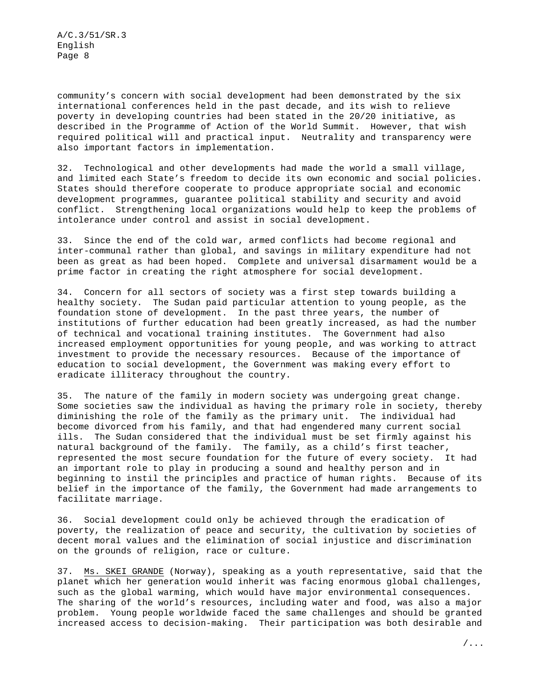community's concern with social development had been demonstrated by the six international conferences held in the past decade, and its wish to relieve poverty in developing countries had been stated in the 20/20 initiative, as described in the Programme of Action of the World Summit. However, that wish required political will and practical input. Neutrality and transparency were also important factors in implementation.

32. Technological and other developments had made the world a small village, and limited each State's freedom to decide its own economic and social policies. States should therefore cooperate to produce appropriate social and economic development programmes, guarantee political stability and security and avoid conflict. Strengthening local organizations would help to keep the problems of intolerance under control and assist in social development.

33. Since the end of the cold war, armed conflicts had become regional and inter-communal rather than global, and savings in military expenditure had not been as great as had been hoped. Complete and universal disarmament would be a prime factor in creating the right atmosphere for social development.

34. Concern for all sectors of society was a first step towards building a healthy society. The Sudan paid particular attention to young people, as the foundation stone of development. In the past three years, the number of institutions of further education had been greatly increased, as had the number of technical and vocational training institutes. The Government had also increased employment opportunities for young people, and was working to attract investment to provide the necessary resources. Because of the importance of education to social development, the Government was making every effort to eradicate illiteracy throughout the country.

35. The nature of the family in modern society was undergoing great change. Some societies saw the individual as having the primary role in society, thereby diminishing the role of the family as the primary unit. The individual had become divorced from his family, and that had engendered many current social ills. The Sudan considered that the individual must be set firmly against his natural background of the family. The family, as a child's first teacher, represented the most secure foundation for the future of every society. It had an important role to play in producing a sound and healthy person and in beginning to instil the principles and practice of human rights. Because of its belief in the importance of the family, the Government had made arrangements to facilitate marriage.

36. Social development could only be achieved through the eradication of poverty, the realization of peace and security, the cultivation by societies of decent moral values and the elimination of social injustice and discrimination on the grounds of religion, race or culture.

37. Ms. SKEI GRANDE (Norway), speaking as a youth representative, said that the planet which her generation would inherit was facing enormous global challenges, such as the global warming, which would have major environmental consequences. The sharing of the world's resources, including water and food, was also a major problem. Young people worldwide faced the same challenges and should be granted increased access to decision-making. Their participation was both desirable and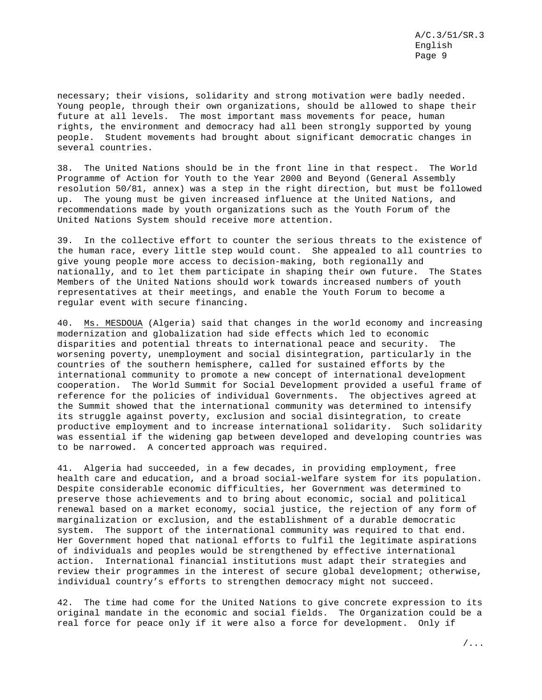necessary; their visions, solidarity and strong motivation were badly needed. Young people, through their own organizations, should be allowed to shape their future at all levels. The most important mass movements for peace, human rights, the environment and democracy had all been strongly supported by young people. Student movements had brought about significant democratic changes in several countries.

38. The United Nations should be in the front line in that respect. The World Programme of Action for Youth to the Year 2000 and Beyond (General Assembly resolution 50/81, annex) was a step in the right direction, but must be followed up. The young must be given increased influence at the United Nations, and recommendations made by youth organizations such as the Youth Forum of the United Nations System should receive more attention.

39. In the collective effort to counter the serious threats to the existence of the human race, every little step would count. She appealed to all countries to give young people more access to decision-making, both regionally and nationally, and to let them participate in shaping their own future. The States Members of the United Nations should work towards increased numbers of youth representatives at their meetings, and enable the Youth Forum to become a regular event with secure financing.

40. Ms. MESDOUA (Algeria) said that changes in the world economy and increasing modernization and globalization had side effects which led to economic disparities and potential threats to international peace and security. The worsening poverty, unemployment and social disintegration, particularly in the countries of the southern hemisphere, called for sustained efforts by the international community to promote a new concept of international development cooperation. The World Summit for Social Development provided a useful frame of reference for the policies of individual Governments. The objectives agreed at the Summit showed that the international community was determined to intensify its struggle against poverty, exclusion and social disintegration, to create productive employment and to increase international solidarity. Such solidarity was essential if the widening gap between developed and developing countries was to be narrowed. A concerted approach was required.

41. Algeria had succeeded, in a few decades, in providing employment, free health care and education, and a broad social-welfare system for its population. Despite considerable economic difficulties, her Government was determined to preserve those achievements and to bring about economic, social and political renewal based on a market economy, social justice, the rejection of any form of marginalization or exclusion, and the establishment of a durable democratic system. The support of the international community was required to that end. Her Government hoped that national efforts to fulfil the legitimate aspirations of individuals and peoples would be strengthened by effective international action. International financial institutions must adapt their strategies and review their programmes in the interest of secure global development; otherwise, individual country's efforts to strengthen democracy might not succeed.

42. The time had come for the United Nations to give concrete expression to its original mandate in the economic and social fields. The Organization could be a real force for peace only if it were also a force for development. Only if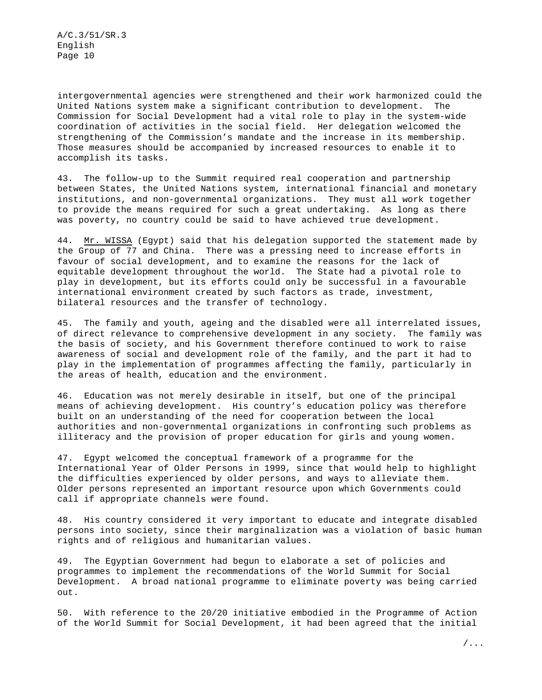intergovernmental agencies were strengthened and their work harmonized could the United Nations system make a significant contribution to development. The Commission for Social Development had a vital role to play in the system-wide coordination of activities in the social field. Her delegation welcomed the strengthening of the Commission's mandate and the increase in its membership. Those measures should be accompanied by increased resources to enable it to accomplish its tasks.

43. The follow-up to the Summit required real cooperation and partnership between States, the United Nations system, international financial and monetary institutions, and non-governmental organizations. They must all work together to provide the means required for such a great undertaking. As long as there was poverty, no country could be said to have achieved true development.

44. Mr. WISSA (Egypt) said that his delegation supported the statement made by the Group of 77 and China. There was a pressing need to increase efforts in favour of social development, and to examine the reasons for the lack of equitable development throughout the world. The State had a pivotal role to play in development, but its efforts could only be successful in a favourable international environment created by such factors as trade, investment, bilateral resources and the transfer of technology.

45. The family and youth, ageing and the disabled were all interrelated issues, of direct relevance to comprehensive development in any society. The family was the basis of society, and his Government therefore continued to work to raise awareness of social and development role of the family, and the part it had to play in the implementation of programmes affecting the family, particularly in the areas of health, education and the environment.

46. Education was not merely desirable in itself, but one of the principal means of achieving development. His country's education policy was therefore built on an understanding of the need for cooperation between the local authorities and non-governmental organizations in confronting such problems as illiteracy and the provision of proper education for girls and young women.

47. Egypt welcomed the conceptual framework of a programme for the International Year of Older Persons in 1999, since that would help to highlight the difficulties experienced by older persons, and ways to alleviate them. Older persons represented an important resource upon which Governments could call if appropriate channels were found.

48. His country considered it very important to educate and integrate disabled persons into society, since their marginalization was a violation of basic human rights and of religious and humanitarian values.

49. The Egyptian Government had begun to elaborate a set of policies and programmes to implement the recommendations of the World Summit for Social Development. A broad national programme to eliminate poverty was being carried out.

50. With reference to the 20/20 initiative embodied in the Programme of Action of the World Summit for Social Development, it had been agreed that the initial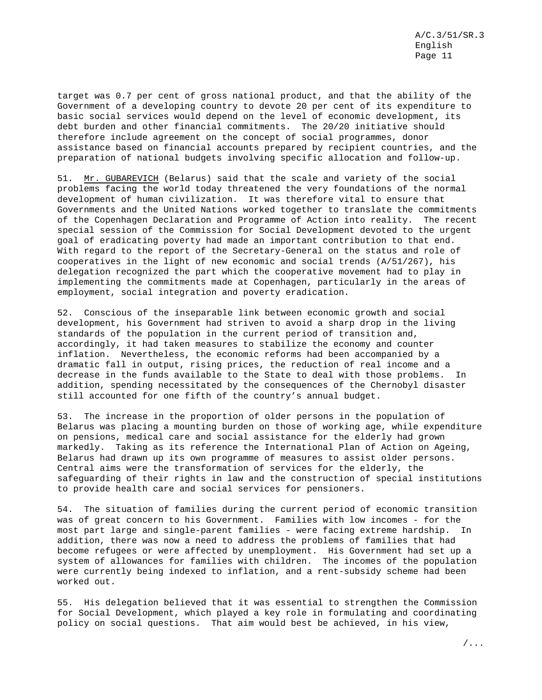target was 0.7 per cent of gross national product, and that the ability of the Government of a developing country to devote 20 per cent of its expenditure to basic social services would depend on the level of economic development, its debt burden and other financial commitments. The 20/20 initiative should therefore include agreement on the concept of social programmes, donor assistance based on financial accounts prepared by recipient countries, and the preparation of national budgets involving specific allocation and follow-up.

51. Mr. GUBAREVICH (Belarus) said that the scale and variety of the social problems facing the world today threatened the very foundations of the normal development of human civilization. It was therefore vital to ensure that Governments and the United Nations worked together to translate the commitments of the Copenhagen Declaration and Programme of Action into reality. The recent special session of the Commission for Social Development devoted to the urgent goal of eradicating poverty had made an important contribution to that end. With regard to the report of the Secretary-General on the status and role of cooperatives in the light of new economic and social trends (A/51/267), his delegation recognized the part which the cooperative movement had to play in implementing the commitments made at Copenhagen, particularly in the areas of employment, social integration and poverty eradication.

52. Conscious of the inseparable link between economic growth and social development, his Government had striven to avoid a sharp drop in the living standards of the population in the current period of transition and, accordingly, it had taken measures to stabilize the economy and counter inflation. Nevertheless, the economic reforms had been accompanied by a dramatic fall in output, rising prices, the reduction of real income and a decrease in the funds available to the State to deal with those problems. In addition, spending necessitated by the consequences of the Chernobyl disaster still accounted for one fifth of the country's annual budget.

53. The increase in the proportion of older persons in the population of Belarus was placing a mounting burden on those of working age, while expenditure on pensions, medical care and social assistance for the elderly had grown markedly. Taking as its reference the International Plan of Action on Ageing, Belarus had drawn up its own programme of measures to assist older persons. Central aims were the transformation of services for the elderly, the safeguarding of their rights in law and the construction of special institutions to provide health care and social services for pensioners.

54. The situation of families during the current period of economic transition was of great concern to his Government. Families with low incomes - for the most part large and single-parent families - were facing extreme hardship. In addition, there was now a need to address the problems of families that had become refugees or were affected by unemployment. His Government had set up a system of allowances for families with children. The incomes of the population were currently being indexed to inflation, and a rent-subsidy scheme had been worked out.

55. His delegation believed that it was essential to strengthen the Commission for Social Development, which played a key role in formulating and coordinating policy on social questions. That aim would best be achieved, in his view,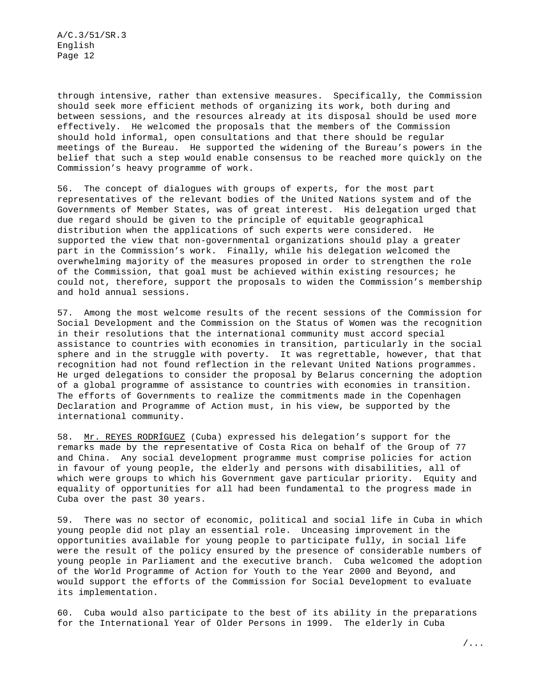through intensive, rather than extensive measures. Specifically, the Commission should seek more efficient methods of organizing its work, both during and between sessions, and the resources already at its disposal should be used more effectively. He welcomed the proposals that the members of the Commission should hold informal, open consultations and that there should be regular meetings of the Bureau. He supported the widening of the Bureau's powers in the belief that such a step would enable consensus to be reached more quickly on the Commission's heavy programme of work.

56. The concept of dialogues with groups of experts, for the most part representatives of the relevant bodies of the United Nations system and of the Governments of Member States, was of great interest. His delegation urged that due regard should be given to the principle of equitable geographical distribution when the applications of such experts were considered. He supported the view that non-governmental organizations should play a greater part in the Commission's work. Finally, while his delegation welcomed the overwhelming majority of the measures proposed in order to strengthen the role of the Commission, that goal must be achieved within existing resources; he could not, therefore, support the proposals to widen the Commission's membership and hold annual sessions.

57. Among the most welcome results of the recent sessions of the Commission for Social Development and the Commission on the Status of Women was the recognition in their resolutions that the international community must accord special assistance to countries with economies in transition, particularly in the social sphere and in the struggle with poverty. It was regrettable, however, that that recognition had not found reflection in the relevant United Nations programmes. He urged delegations to consider the proposal by Belarus concerning the adoption of a global programme of assistance to countries with economies in transition. The efforts of Governments to realize the commitments made in the Copenhagen Declaration and Programme of Action must, in his view, be supported by the international community.

58. Mr. REYES RODRÍGUEZ (Cuba) expressed his delegation's support for the remarks made by the representative of Costa Rica on behalf of the Group of 77 and China. Any social development programme must comprise policies for action in favour of young people, the elderly and persons with disabilities, all of which were groups to which his Government gave particular priority. Equity and equality of opportunities for all had been fundamental to the progress made in Cuba over the past 30 years.

59. There was no sector of economic, political and social life in Cuba in which young people did not play an essential role. Unceasing improvement in the opportunities available for young people to participate fully, in social life were the result of the policy ensured by the presence of considerable numbers of young people in Parliament and the executive branch. Cuba welcomed the adoption of the World Programme of Action for Youth to the Year 2000 and Beyond, and would support the efforts of the Commission for Social Development to evaluate its implementation.

60. Cuba would also participate to the best of its ability in the preparations for the International Year of Older Persons in 1999. The elderly in Cuba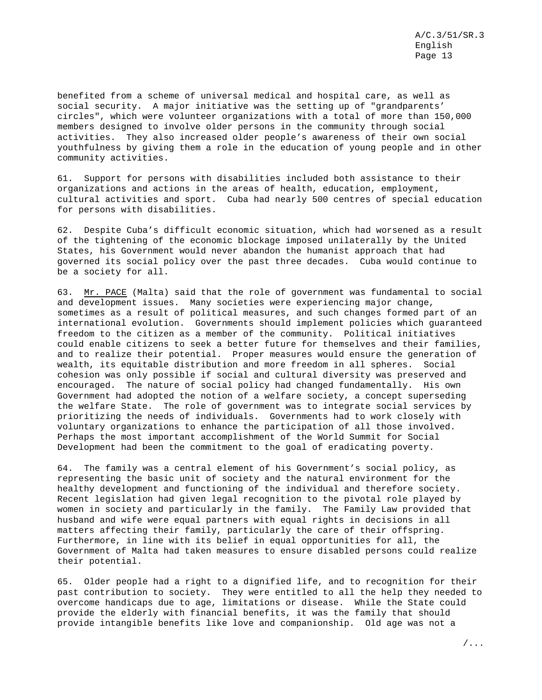benefited from a scheme of universal medical and hospital care, as well as social security. A major initiative was the setting up of "grandparents' circles", which were volunteer organizations with a total of more than 150,000 members designed to involve older persons in the community through social activities. They also increased older people's awareness of their own social youthfulness by giving them a role in the education of young people and in other community activities.

61. Support for persons with disabilities included both assistance to their organizations and actions in the areas of health, education, employment, cultural activities and sport. Cuba had nearly 500 centres of special education for persons with disabilities.

62. Despite Cuba's difficult economic situation, which had worsened as a result of the tightening of the economic blockage imposed unilaterally by the United States, his Government would never abandon the humanist approach that had governed its social policy over the past three decades. Cuba would continue to be a society for all.

63. Mr. PACE (Malta) said that the role of government was fundamental to social and development issues. Many societies were experiencing major change, sometimes as a result of political measures, and such changes formed part of an international evolution. Governments should implement policies which guaranteed freedom to the citizen as a member of the community. Political initiatives could enable citizens to seek a better future for themselves and their families, and to realize their potential. Proper measures would ensure the generation of wealth, its equitable distribution and more freedom in all spheres. Social cohesion was only possible if social and cultural diversity was preserved and encouraged. The nature of social policy had changed fundamentally. His own Government had adopted the notion of a welfare society, a concept superseding the welfare State. The role of government was to integrate social services by prioritizing the needs of individuals. Governments had to work closely with voluntary organizations to enhance the participation of all those involved. Perhaps the most important accomplishment of the World Summit for Social Development had been the commitment to the goal of eradicating poverty.

64. The family was a central element of his Government's social policy, as representing the basic unit of society and the natural environment for the healthy development and functioning of the individual and therefore society. Recent legislation had given legal recognition to the pivotal role played by women in society and particularly in the family. The Family Law provided that husband and wife were equal partners with equal rights in decisions in all matters affecting their family, particularly the care of their offspring. Furthermore, in line with its belief in equal opportunities for all, the Government of Malta had taken measures to ensure disabled persons could realize their potential.

65. Older people had a right to a dignified life, and to recognition for their past contribution to society. They were entitled to all the help they needed to overcome handicaps due to age, limitations or disease. While the State could provide the elderly with financial benefits, it was the family that should provide intangible benefits like love and companionship. Old age was not a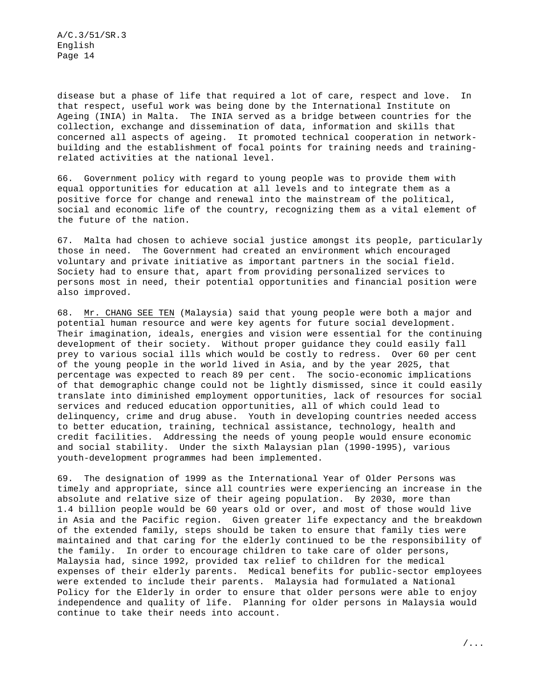disease but a phase of life that required a lot of care, respect and love. In that respect, useful work was being done by the International Institute on Ageing (INIA) in Malta. The INIA served as a bridge between countries for the collection, exchange and dissemination of data, information and skills that concerned all aspects of ageing. It promoted technical cooperation in networkbuilding and the establishment of focal points for training needs and trainingrelated activities at the national level.

66. Government policy with regard to young people was to provide them with equal opportunities for education at all levels and to integrate them as a positive force for change and renewal into the mainstream of the political, social and economic life of the country, recognizing them as a vital element of the future of the nation.

67. Malta had chosen to achieve social justice amongst its people, particularly those in need. The Government had created an environment which encouraged voluntary and private initiative as important partners in the social field. Society had to ensure that, apart from providing personalized services to persons most in need, their potential opportunities and financial position were also improved.

68. Mr. CHANG SEE TEN (Malaysia) said that young people were both a major and potential human resource and were key agents for future social development. Their imagination, ideals, energies and vision were essential for the continuing development of their society. Without proper guidance they could easily fall prey to various social ills which would be costly to redress. Over 60 per cent of the young people in the world lived in Asia, and by the year 2025, that percentage was expected to reach 89 per cent. The socio-economic implications of that demographic change could not be lightly dismissed, since it could easily translate into diminished employment opportunities, lack of resources for social services and reduced education opportunities, all of which could lead to delinquency, crime and drug abuse. Youth in developing countries needed access to better education, training, technical assistance, technology, health and credit facilities. Addressing the needs of young people would ensure economic and social stability. Under the sixth Malaysian plan (1990-1995), various youth-development programmes had been implemented.

69. The designation of 1999 as the International Year of Older Persons was timely and appropriate, since all countries were experiencing an increase in the absolute and relative size of their ageing population. By 2030, more than 1.4 billion people would be 60 years old or over, and most of those would live in Asia and the Pacific region. Given greater life expectancy and the breakdown of the extended family, steps should be taken to ensure that family ties were maintained and that caring for the elderly continued to be the responsibility of the family. In order to encourage children to take care of older persons, Malaysia had, since 1992, provided tax relief to children for the medical expenses of their elderly parents. Medical benefits for public-sector employees were extended to include their parents. Malaysia had formulated a National Policy for the Elderly in order to ensure that older persons were able to enjoy independence and quality of life. Planning for older persons in Malaysia would continue to take their needs into account.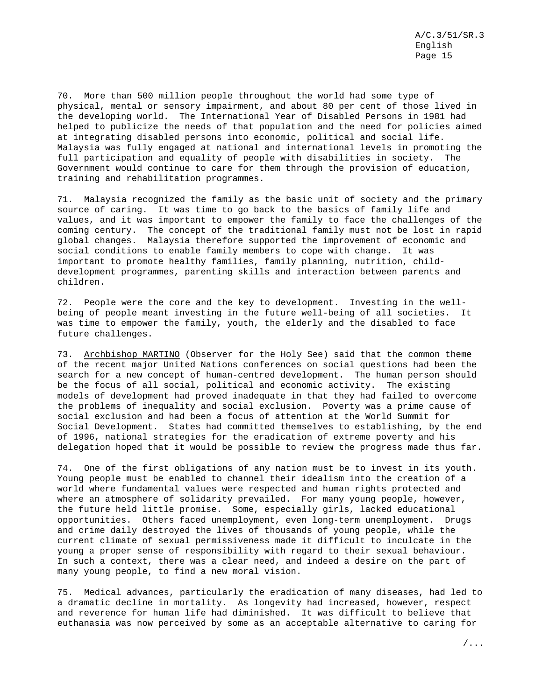70. More than 500 million people throughout the world had some type of physical, mental or sensory impairment, and about 80 per cent of those lived in the developing world. The International Year of Disabled Persons in 1981 had helped to publicize the needs of that population and the need for policies aimed at integrating disabled persons into economic, political and social life. Malaysia was fully engaged at national and international levels in promoting the full participation and equality of people with disabilities in society. The Government would continue to care for them through the provision of education, training and rehabilitation programmes.

71. Malaysia recognized the family as the basic unit of society and the primary source of caring. It was time to go back to the basics of family life and values, and it was important to empower the family to face the challenges of the coming century. The concept of the traditional family must not be lost in rapid global changes. Malaysia therefore supported the improvement of economic and social conditions to enable family members to cope with change. It was important to promote healthy families, family planning, nutrition, childdevelopment programmes, parenting skills and interaction between parents and children.

72. People were the core and the key to development. Investing in the wellbeing of people meant investing in the future well-being of all societies. It was time to empower the family, youth, the elderly and the disabled to face future challenges.

73. Archbishop MARTINO (Observer for the Holy See) said that the common theme of the recent major United Nations conferences on social questions had been the search for a new concept of human-centred development. The human person should be the focus of all social, political and economic activity. The existing models of development had proved inadequate in that they had failed to overcome the problems of inequality and social exclusion. Poverty was a prime cause of social exclusion and had been a focus of attention at the World Summit for Social Development. States had committed themselves to establishing, by the end of 1996, national strategies for the eradication of extreme poverty and his delegation hoped that it would be possible to review the progress made thus far.

74. One of the first obligations of any nation must be to invest in its youth. Young people must be enabled to channel their idealism into the creation of a world where fundamental values were respected and human rights protected and where an atmosphere of solidarity prevailed. For many young people, however, the future held little promise. Some, especially girls, lacked educational opportunities. Others faced unemployment, even long-term unemployment. Drugs and crime daily destroyed the lives of thousands of young people, while the current climate of sexual permissiveness made it difficult to inculcate in the young a proper sense of responsibility with regard to their sexual behaviour. In such a context, there was a clear need, and indeed a desire on the part of many young people, to find a new moral vision.

75. Medical advances, particularly the eradication of many diseases, had led to a dramatic decline in mortality. As longevity had increased, however, respect and reverence for human life had diminished. It was difficult to believe that euthanasia was now perceived by some as an acceptable alternative to caring for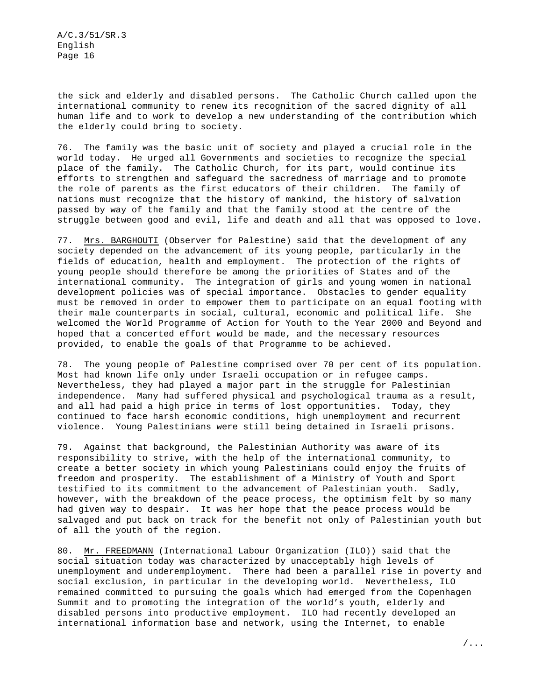the sick and elderly and disabled persons. The Catholic Church called upon the international community to renew its recognition of the sacred dignity of all human life and to work to develop a new understanding of the contribution which the elderly could bring to society.

76. The family was the basic unit of society and played a crucial role in the world today. He urged all Governments and societies to recognize the special place of the family. The Catholic Church, for its part, would continue its efforts to strengthen and safeguard the sacredness of marriage and to promote the role of parents as the first educators of their children. The family of nations must recognize that the history of mankind, the history of salvation passed by way of the family and that the family stood at the centre of the struggle between good and evil, life and death and all that was opposed to love.

77. Mrs. BARGHOUTI (Observer for Palestine) said that the development of any society depended on the advancement of its young people, particularly in the fields of education, health and employment. The protection of the rights of young people should therefore be among the priorities of States and of the international community. The integration of girls and young women in national development policies was of special importance. Obstacles to gender equality must be removed in order to empower them to participate on an equal footing with their male counterparts in social, cultural, economic and political life. She welcomed the World Programme of Action for Youth to the Year 2000 and Beyond and hoped that a concerted effort would be made, and the necessary resources provided, to enable the goals of that Programme to be achieved.

78. The young people of Palestine comprised over 70 per cent of its population. Most had known life only under Israeli occupation or in refugee camps. Nevertheless, they had played a major part in the struggle for Palestinian independence. Many had suffered physical and psychological trauma as a result, and all had paid a high price in terms of lost opportunities. Today, they continued to face harsh economic conditions, high unemployment and recurrent violence. Young Palestinians were still being detained in Israeli prisons.

79. Against that background, the Palestinian Authority was aware of its responsibility to strive, with the help of the international community, to create a better society in which young Palestinians could enjoy the fruits of freedom and prosperity. The establishment of a Ministry of Youth and Sport testified to its commitment to the advancement of Palestinian youth. Sadly, however, with the breakdown of the peace process, the optimism felt by so many had given way to despair. It was her hope that the peace process would be salvaged and put back on track for the benefit not only of Palestinian youth but of all the youth of the region.

80. Mr. FREEDMANN (International Labour Organization (ILO)) said that the social situation today was characterized by unacceptably high levels of unemployment and underemployment. There had been a parallel rise in poverty and social exclusion, in particular in the developing world. Nevertheless, ILO remained committed to pursuing the goals which had emerged from the Copenhagen Summit and to promoting the integration of the world's youth, elderly and disabled persons into productive employment. ILO had recently developed an international information base and network, using the Internet, to enable